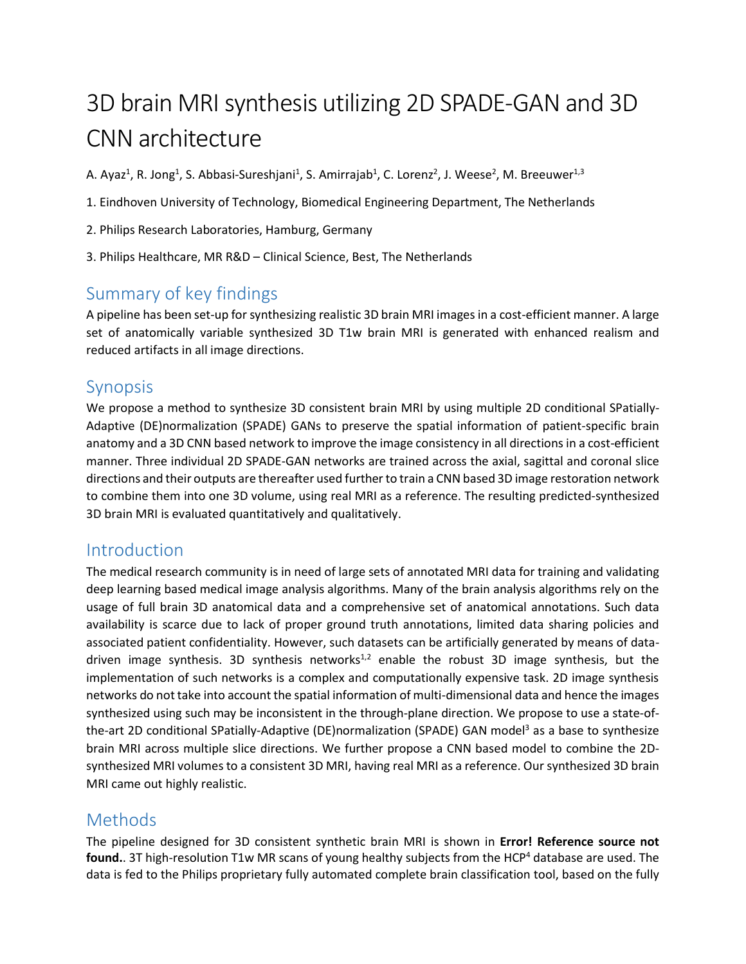# 3D brain MRI synthesis utilizing 2D SPADE-GAN and 3D CNN architecture

A. Ayaz<sup>1</sup>, R. Jong<sup>1</sup>, S. Abbasi-Sureshjani<sup>1</sup>, S. Amirrajab<sup>1</sup>, C. Lorenz<sup>2</sup>, J. Weese<sup>2</sup>, M. Breeuwer<sup>1,3</sup>

- 1. Eindhoven University of Technology, Biomedical Engineering Department, The Netherlands
- 2. Philips Research Laboratories, Hamburg, Germany
- 3. Philips Healthcare, MR R&D Clinical Science, Best, The Netherlands

# Summary of key findings

A pipeline has been set-up for synthesizing realistic 3D brain MRI images in a cost-efficient manner. A large set of anatomically variable synthesized 3D T1w brain MRI is generated with enhanced realism and reduced artifacts in all image directions.

# Synopsis

We propose a method to synthesize 3D consistent brain MRI by using multiple 2D conditional SPatially-Adaptive (DE)normalization (SPADE) GANs to preserve the spatial information of patient-specific brain anatomy and a 3D CNN based network to improve the image consistency in all directions in a cost-efficient manner. Three individual 2D SPADE-GAN networks are trained across the axial, sagittal and coronal slice directions and their outputs are thereafter used further to train a CNN based 3D image restoration network to combine them into one 3D volume, using real MRI as a reference. The resulting predicted-synthesized 3D brain MRI is evaluated quantitatively and qualitatively.

### Introduction

The medical research community is in need of large sets of annotated MRI data for training and validating deep learning based medical image analysis algorithms. Many of the brain analysis algorithms rely on the usage of full brain 3D anatomical data and a comprehensive set of anatomical annotations. Such data availability is scarce due to lack of proper ground truth annotations, limited data sharing policies and associated patient confidentiality. However, such datasets can be artificially generated by means of datadriven image synthesis. 3D synthesis networks<sup>1,2</sup> enable the robust 3D image synthesis, but the implementation of such networks is a complex and computationally expensive task. 2D image synthesis networks do not take into account the spatial information of multi-dimensional data and hence the images synthesized using such may be inconsistent in the through-plane direction. We propose to use a state-ofthe-art 2D conditional SPatially-Adaptive (DE)normalization (SPADE) GAN model<sup>3</sup> as a base to synthesize brain MRI across multiple slice directions. We further propose a CNN based model to combine the 2Dsynthesized MRI volumes to a consistent 3D MRI, having real MRI as a reference. Our synthesized 3D brain MRI came out highly realistic.

### **Methods**

The pipeline designed for 3D consistent synthetic brain MRI is shown in **Error! Reference source not**  found.. 3T high-resolution T1w MR scans of young healthy subjects from the HCP<sup>4</sup> database are used. The data is fed to the Philips proprietary fully automated complete brain classification tool, based on the fully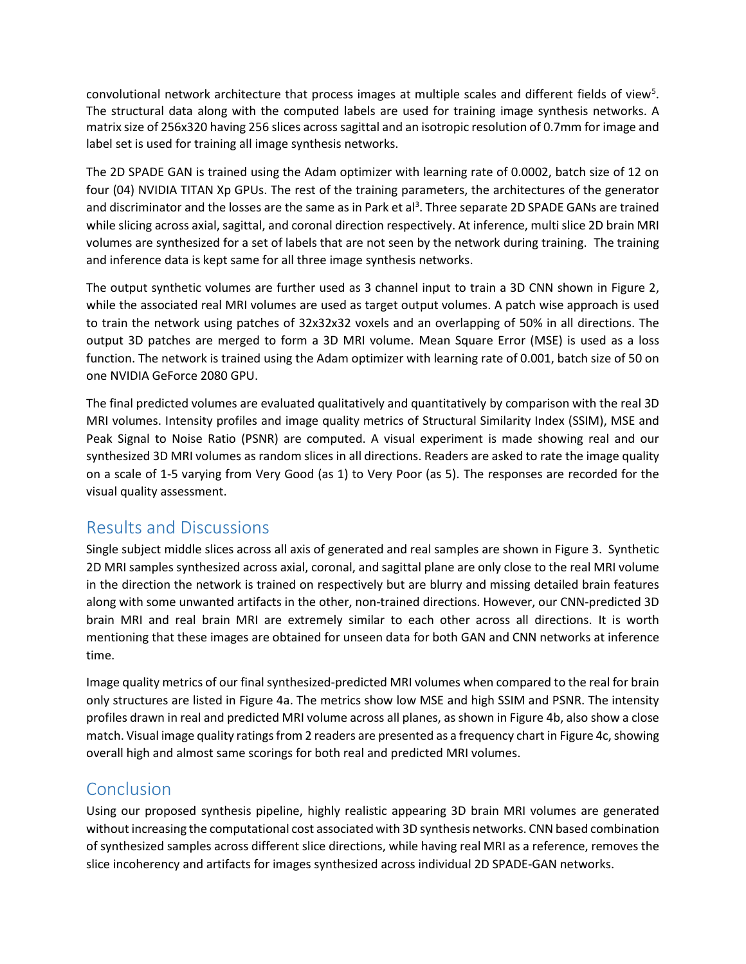convolutional network architecture that process images at multiple scales and different fields of view<sup>5</sup>. The structural data along with the computed labels are used for training image synthesis networks. A matrix size of 256x320 having 256 slices across sagittal and an isotropic resolution of 0.7mm for image and label set is used for training all image synthesis networks.

The 2D SPADE GAN is trained using the Adam optimizer with learning rate of 0.0002, batch size of 12 on four (04) NVIDIA TITAN Xp GPUs. The rest of the training parameters, the architectures of the generator and discriminator and the losses are the same as in Park et al<sup>3</sup>. Three separate 2D SPADE GANs are trained while slicing across axial, sagittal, and coronal direction respectively. At inference, multi slice 2D brain MRI volumes are synthesized for a set of labels that are not seen by the network during training. The training and inference data is kept same for all three image synthesis networks.

The output synthetic volumes are further used as 3 channel input to train a 3D CNN shown in Figure 2, while the associated real MRI volumes are used as target output volumes. A patch wise approach is used to train the network using patches of 32x32x32 voxels and an overlapping of 50% in all directions. The output 3D patches are merged to form a 3D MRI volume. Mean Square Error (MSE) is used as a loss function. The network is trained using the Adam optimizer with learning rate of 0.001, batch size of 50 on one NVIDIA GeForce 2080 GPU.

The final predicted volumes are evaluated qualitatively and quantitatively by comparison with the real 3D MRI volumes. Intensity profiles and image quality metrics of Structural Similarity Index (SSIM), MSE and Peak Signal to Noise Ratio (PSNR) are computed. A visual experiment is made showing real and our synthesized 3D MRI volumes as random slices in all directions. Readers are asked to rate the image quality on a scale of 1-5 varying from Very Good (as 1) to Very Poor (as 5). The responses are recorded for the visual quality assessment.

# Results and Discussions

Single subject middle slices across all axis of generated and real samples are shown in Figure 3. Synthetic 2D MRI samples synthesized across axial, coronal, and sagittal plane are only close to the real MRI volume in the direction the network is trained on respectively but are blurry and missing detailed brain features along with some unwanted artifacts in the other, non-trained directions. However, our CNN-predicted 3D brain MRI and real brain MRI are extremely similar to each other across all directions. It is worth mentioning that these images are obtained for unseen data for both GAN and CNN networks at inference time.

Image quality metrics of our final synthesized-predicted MRI volumes when compared to the real for brain only structures are listed in Figure 4a. The metrics show low MSE and high SSIM and PSNR. The intensity profiles drawn in real and predicted MRI volume across all planes, as shown in Figure 4b, also show a close match. Visual image quality ratings from 2 readers are presented as a frequency chart in Figure 4c, showing overall high and almost same scorings for both real and predicted MRI volumes.

# Conclusion

Using our proposed synthesis pipeline, highly realistic appearing 3D brain MRI volumes are generated without increasing the computational cost associated with 3D synthesis networks. CNN based combination of synthesized samples across different slice directions, while having real MRI as a reference, removes the slice incoherency and artifacts for images synthesized across individual 2D SPADE-GAN networks.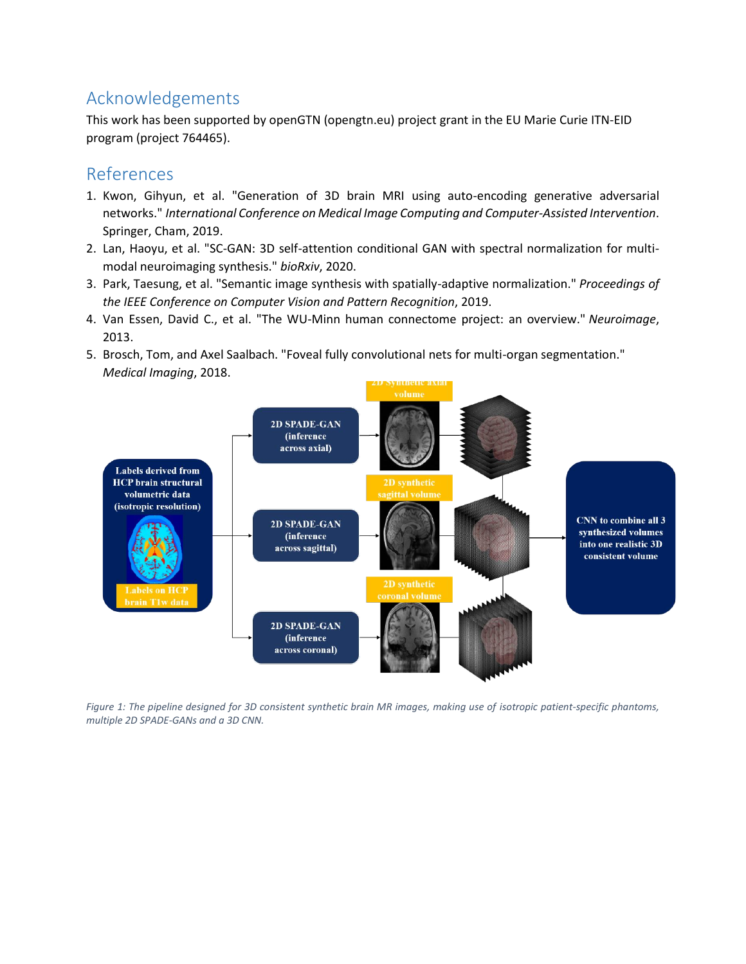# Acknowledgements

This work has been supported by openGTN (opengtn.eu) project grant in the EU Marie Curie ITN-EID program (project 764465).

#### References

- 1. Kwon, Gihyun, et al. "Generation of 3D brain MRI using auto-encoding generative adversarial networks." *International Conference on Medical Image Computing and Computer-Assisted Intervention*. Springer, Cham, 2019.
- 2. Lan, Haoyu, et al. "SC-GAN: 3D self-attention conditional GAN with spectral normalization for multimodal neuroimaging synthesis." *bioRxiv*, 2020.
- 3. Park, Taesung, et al. "Semantic image synthesis with spatially-adaptive normalization." *Proceedings of the IEEE Conference on Computer Vision and Pattern Recognition*, 2019.
- 4. Van Essen, David C., et al. "The WU-Minn human connectome project: an overview." *Neuroimage*, 2013.
- 5. Brosch, Tom, and Axel Saalbach. "Foveal fully convolutional nets for multi-organ segmentation." *Medical Imaging*, 2018.



*Figure 1: The pipeline designed for 3D consistent synthetic brain MR images, making use of isotropic patient-specific phantoms, multiple 2D SPADE-GANs and a 3D CNN.*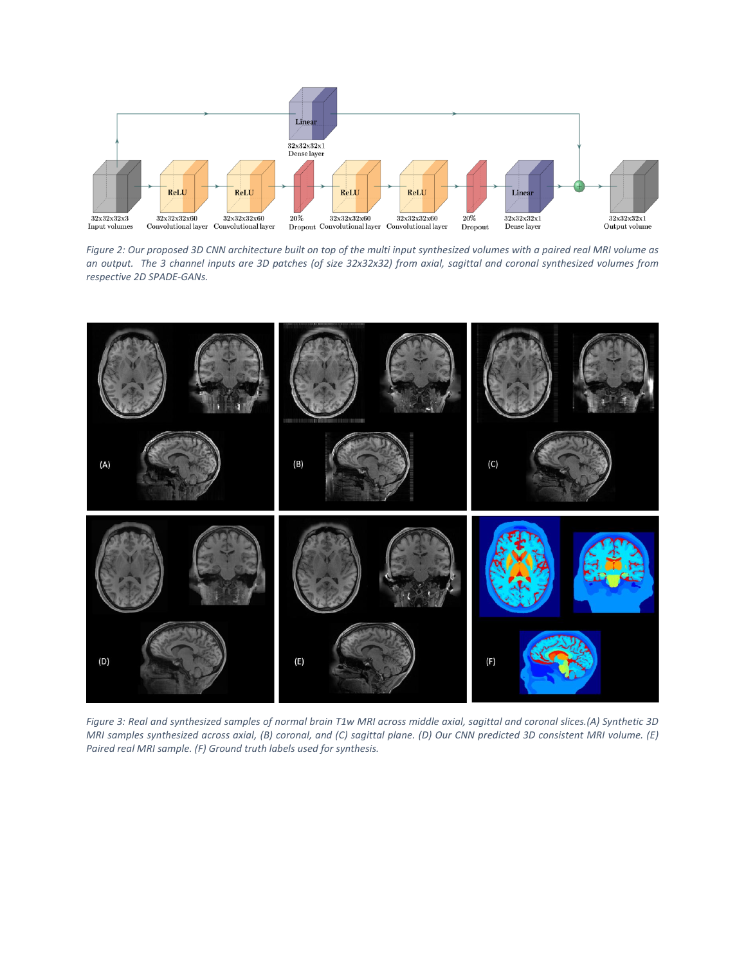

*Figure 2: Our proposed 3D CNN architecture built on top of the multi input synthesized volumes with a paired real MRI volume as an output. The 3 channel inputs are 3D patches (of size 32x32x32) from axial, sagittal and coronal synthesized volumes from respective 2D SPADE-GANs.*



*Figure 3: Real and synthesized samples of normal brain T1w MRI across middle axial, sagittal and coronal slices.(A) Synthetic 3D MRI samples synthesized across axial, (B) coronal, and (C) sagittal plane. (D) Our CNN predicted 3D consistent MRI volume. (E) Paired real MRI sample. (F) Ground truth labels used for synthesis.*